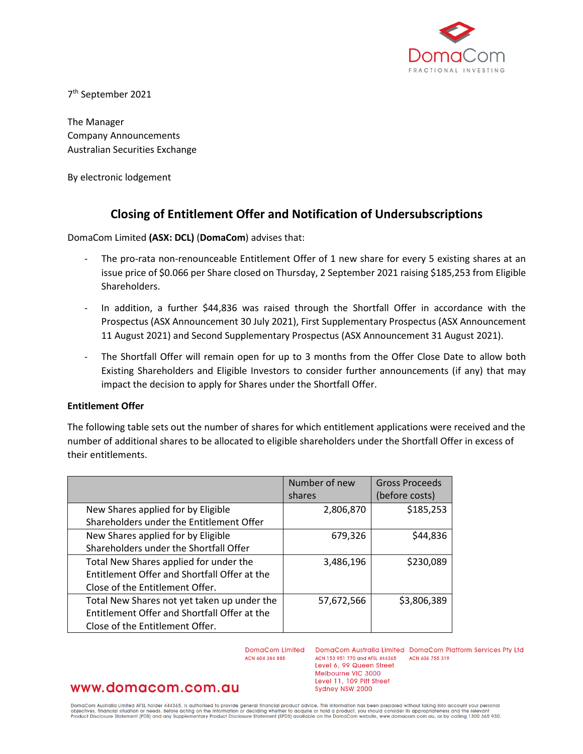

7th September 2021

The Manager Company Announcements Australian Securities Exchange

By electronic lodgement

# **Closing of Entitlement Offer and Notification of Undersubscriptions**

DomaCom Limited **(ASX: DCL)** (**DomaCom**) advises that:

- The pro-rata non-renounceable Entitlement Offer of 1 new share for every 5 existing shares at an issue price of \$0.066 per Share closed on Thursday, 2 September 2021 raising \$185,253 from Eligible Shareholders.
- In addition, a further \$44,836 was raised through the Shortfall Offer in accordance with the Prospectus (ASX Announcement 30 July 2021), First Supplementary Prospectus (ASX Announcement 11 August 2021) and Second Supplementary Prospectus (ASX Announcement 31 August 2021).
- The Shortfall Offer will remain open for up to 3 months from the Offer Close Date to allow both Existing Shareholders and Eligible Investors to consider further announcements (if any) that may impact the decision to apply for Shares under the Shortfall Offer.

### **Entitlement Offer**

The following table sets out the number of shares for which entitlement applications were received and the number of additional shares to be allocated to eligible shareholders under the Shortfall Offer in excess of their entitlements.

|                                              | Number of new | <b>Gross Proceeds</b> |
|----------------------------------------------|---------------|-----------------------|
|                                              | shares        | (before costs)        |
| New Shares applied for by Eligible           | 2,806,870     | \$185,253             |
| Shareholders under the Entitlement Offer     |               |                       |
| New Shares applied for by Eligible           | 679,326       | \$44,836              |
| Shareholders under the Shortfall Offer       |               |                       |
| Total New Shares applied for under the       | 3,486,196     | \$230,089             |
| Entitlement Offer and Shortfall Offer at the |               |                       |
| Close of the Entitlement Offer.              |               |                       |
| Total New Shares not yet taken up under the  | 57,672,566    | \$3,806,389           |
| Entitlement Offer and Shortfall Offer at the |               |                       |
| Close of the Entitlement Offer.              |               |                       |

DomaCom Limited DomaCom Australia Limited DomaCom Platform Services Pty Ltd ACN 604 384 885

ACN 153 951 770 and AFSL 444365 ACN 606 755 319 Level 6, 99 Queen Street Melbourne VIC 3000 Level 11, 109 Pitt Street Sydney NSW 2000

# www.domacom.com.au

DomaCom Australia Limited AFSL holder 444365, is authorised to provide general financial product advice. This information has been prepared without taking into account your personal<br>objectives, financial situation or needs